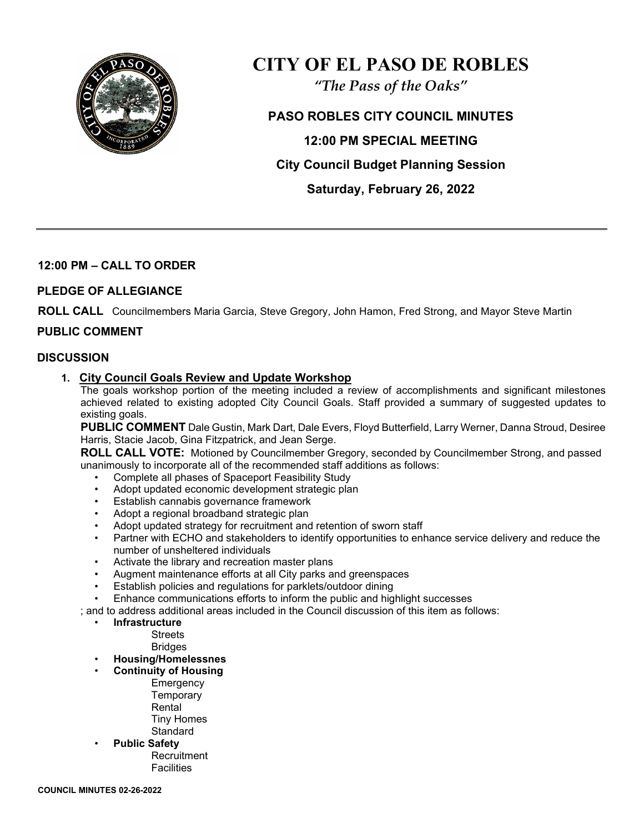

# **CITY OF EL PASO DE ROBLES**

*"The Pass of the Oaks"*

**PASO ROBLES CITY COUNCIL MINUTES 12:00 PM SPECIAL MEETING City Council Budget Planning Session Saturday, February 26, 2022** 

# **12:00 PM – CALL TO ORDER**

## **PLEDGE OF ALLEGIANCE**

**ROLL CALL** Councilmembers Maria Garcia, Steve Gregory, John Hamon, Fred Strong, and Mayor Steve Martin

## **PUBLIC COMMENT**

#### **DISCUSSION**

#### **1. City Council Goals Review and Update Workshop**

The goals workshop portion of the meeting included a review of accomplishments and significant milestones achieved related to existing adopted City Council Goals. Staff provided a summary of suggested updates to existing goals.

**PUBLIC COMMENT** Dale Gustin, Mark Dart, Dale Evers, Floyd Butterfield, Larry Werner, Danna Stroud, Desiree Harris, Stacie Jacob, Gina Fitzpatrick, and Jean Serge.

**ROLL CALL VOTE:** Motioned by Councilmember Gregory, seconded by Councilmember Strong, and passed unanimously to incorporate all of the recommended staff additions as follows:

- Complete all phases of Spaceport Feasibility Study
- Adopt updated economic development strategic plan
- Establish cannabis governance framework
- Adopt a regional broadband strategic plan
- Adopt updated strategy for recruitment and retention of sworn staff
- Partner with ECHO and stakeholders to identify opportunities to enhance service delivery and reduce the number of unsheltered individuals
- Activate the library and recreation master plans
- Augment maintenance efforts at all City parks and greenspaces
- Establish policies and regulations for parklets/outdoor dining
- Enhance communications efforts to inform the public and highlight successes

; and to address additional areas included in the Council discussion of this item as follows:

• **Infrastructure**

**Streets** 

Bridges

- **Housing/Homelessnes**
	- **Continuity of Housing Emergency Temporary** 
		- Rental Tiny Homes

**Standard** 

• **Public Safety**

**Recruitment Facilities**